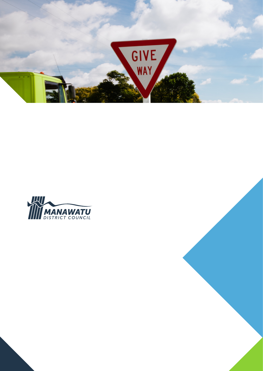

# Traffic Safety & Road Use Bylaw

# 2015

Adopted: 18 November 2015 Commenced: 21 December 2015

www.mdc.govt.nz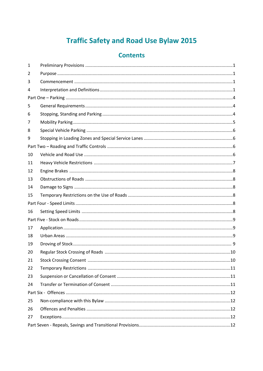# **Traffic Safety and Road Use Bylaw 2015**

# **Contents**

| 1  |  |
|----|--|
| 2  |  |
| 3  |  |
| 4  |  |
|    |  |
| 5  |  |
| 6  |  |
| 7  |  |
| 8  |  |
| 9  |  |
|    |  |
| 10 |  |
| 11 |  |
| 12 |  |
| 13 |  |
| 14 |  |
| 15 |  |
|    |  |
| 16 |  |
|    |  |
| 17 |  |
| 18 |  |
| 19 |  |
| 20 |  |
| 21 |  |
| 22 |  |
| 23 |  |
| 24 |  |
|    |  |
| 25 |  |
| 26 |  |
| 27 |  |
|    |  |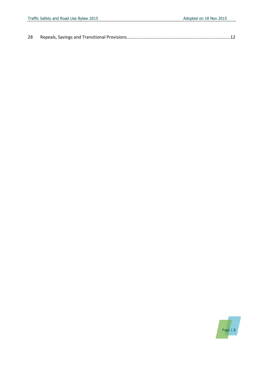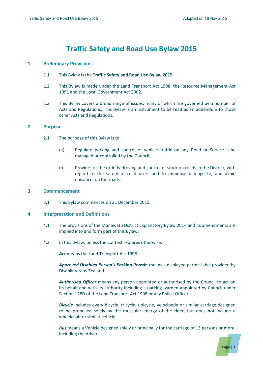# **Traffic Safety and Road Use Bylaw 2015**

#### **1 Preliminary Provisions**

- 1.1 This Bylaw is the **Traffic Safety and Road Use Bylaw 2015**.
- 1.2 This Bylaw is made under the Land Transport Act 1998, the Resource Management Act 1991 and the Local Government Act 2002.
- 1.3 This Bylaw covers a broad range of issues, many of which are governed by a number of Acts and Regulations. This Bylaw is an instrument to be read as an addendum to those other Acts and Regulations.

#### **2 Purpose**

- 2.1 The purpose of this Bylaw is to:
	- (a) Regulate parking and control of vehicle traffic on any Road or Service Lane managed or controlled by the Council;
	- (b) Provide for the orderly droving and control of stock on roads in the District, with regard to the safety of road users and to minimise damage to, and avoid nuisance, on the roads.

#### **3 Commencement**

3.1 This Bylaw commences on 21 December 2015.

#### **4 Interpretation and Definitions**

- 4.1 The provisions of the Manawatu District Explanatory Bylaw 2014 and its amendments are implied into and form part of this Bylaw.
- 4.2 In this Bylaw, unless the context requires otherwise:

*Act* means the Land Transport Act 1998.

*Approved Disabled Person's Parking Permit* means a displayed permit label provided by Disability New Zealand.

*Authorised Officer* means any person appointed or authorised by the Council to act on its behalf and with its authority including a parking warden appointed by Council under Section 128D of the Land Transport Act 1998 or any Police Officer.

*Bicycle* includes every bicycle, tricycle, unicycle, velocipede or similar carriage designed to be propelled solely by the muscular energy of the rider, but does not include a wheelchair or similar vehicle.

**Bus** means a Vehicle designed solely or principally for the carriage of 13 persons or more, including the driver.

Page | **1**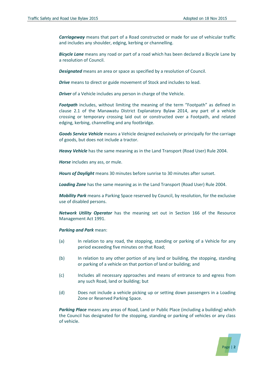*Carriageway* means that part of a Road constructed or made for use of vehicular traffic and includes any shoulder, edging, kerbing or channelling.

*Bicycle Lane* means any road or part of a road which has been declared a Bicycle Lane by a resolution of Council.

*Designated* means an area or space as specified by a resolution of Council.

**Drive** means to direct or guide movement of Stock and includes to lead.

*Driver* of a Vehicle includes any person in charge of the Vehicle.

*Footpath* includes, without limiting the meaning of the term "Footpath" as defined in clause 2.1 of the Manawatu District Explanatory Bylaw 2014, any part of a vehicle crossing or temporary crossing laid out or constructed over a Footpath, and related edging, kerbing, channelling and any footbridge.

*Goods Service Vehicle* means a Vehicle designed exclusively or principally for the carriage of goods, but does not include a tractor.

*Heavy Vehicle* has the same meaning as in the Land Transport (Road User) Rule 2004.

*Horse* includes any ass, or mule.

*Hours of Daylight* means 30 minutes before sunrise to 30 minutes after sunset.

*Loading Zone* has the same meaning as in the Land Transport (Road User) Rule 2004.

*Mobility Park* means a Parking Space reserved by Council, by resolution, for the exclusive use of disabled persons.

*Network Utility Operator* has the meaning set out in Section 166 of the Resource Management Act 1991.

#### *Parking and Park* mean:

- (a) In relation to any road, the stopping, standing or parking of a Vehicle for any period exceeding five minutes on that Road;
- (b) In relation to any other portion of any land or building, the stopping, standing or parking of a vehicle on that portion of land or building; and
- (c) Includes all necessary approaches and means of entrance to and egress from any such Road, land or building; but
- (d) Does not include a vehicle picking up or setting down passengers in a Loading Zone or Reserved Parking Space.

**Parking Place** means any areas of Road, Land or Public Place (including a building) which the Council has designated for the stopping, standing or parking of vehicles or any class of vehicle.

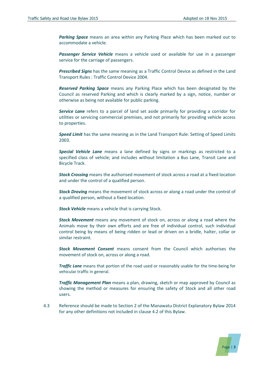*Parking Space* means an area within any Parking Place which has been marked out to accommodate a vehicle.

*Passenger Service Vehicle* means a vehicle used or available for use in a passenger service for the carriage of passengers.

*Prescribed Signs* has the same meaning as a Traffic Control Device as defined in the Land Transport Rules : Traffic Control Device 2004.

*Reserved Parking Space* means any Parking Place which has been designated by the Council as reserved Parking and which is clearly marked by a sign, notice, number or otherwise as being not available for public parking.

*Service Lane* refers to a parcel of land set aside primarily for providing a corridor for utilities or servicing commercial premises, and not primarily for providing vehicle access to properties.

*Speed Limit* has the same meaning as in the Land Transport Rule: Setting of Speed Limits 2003.

*Special Vehicle Lane* means a lane defined by signs or markings as restricted to a specified class of vehicle; and includes without limitation a Bus Lane, Transit Lane and Bicycle Track.

*Stock Crossing* means the authorised movement of stock across a road at a fixed location and under the control of a qualified person.

*Stock Droving* means the movement of stock across or along a road under the control of a qualified person, without a fixed location.

*Stock Vehicle* means a vehicle that is carrying Stock.

*Stock Movement* means any movement of stock on, across or along a road where the Animals move by their own efforts and are free of individual control, such individual control being by means of being ridden or lead or driven on a bridle, halter, collar or similar restraint.

*Stock Movement Consent* means consent from the Council which authorises the movement of stock on, across or along a road.

**Traffic Lane** means that portion of the road used or reasonably usable for the time-being for vehicular traffic in general.

*Traffic Management Plan* means a plan, drawing, sketch or map approved by Council as showing the method or measures for ensuring the safety of Stock and all other road users.

4.3 Reference should be made to Section 2 of the Manawatu District Explanatory Bylaw 2014 for any other definitions not included in clause 4.2 of this Bylaw.

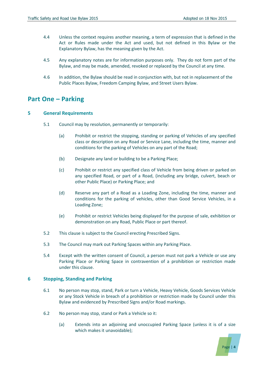- 4.4 Unless the context requires another meaning, a term of expression that is defined in the Act or Rules made under the Act and used, but not defined in this Bylaw or the Explanatory Bylaw, has the meaning given by the Act.
- 4.5 Any explanatory notes are for information purposes only. They do not form part of the Bylaw, and may be made, amended, revoked or replaced by the Council at any time.
- 4.6 In addition, the Bylaw should be read in conjunction with, but not in replacement of the Public Places Bylaw, Freedom Camping Bylaw, and Street Users Bylaw.

# **Part One – Parking**

#### **5 General Requirements**

- 5.1 Council may by resolution, permanently or temporarily:
	- (a) Prohibit or restrict the stopping, standing or parking of Vehicles of any specified class or description on any Road or Service Lane, including the time, manner and conditions for the parking of Vehicles on any part of the Road;
	- (b) Designate any land or building to be a Parking Place;
	- (c) Prohibit or restrict any specified class of Vehicle from being driven or parked on any specified Road, or part of a Road, (including any bridge, culvert, beach or other Public Place) or Parking Place; and
	- (d) Reserve any part of a Road as a Loading Zone, including the time, manner and conditions for the parking of vehicles, other than Good Service Vehicles, in a Loading Zone;
	- (e) Prohibit or restrict Vehicles being displayed for the purpose of sale, exhibition or demonstration on any Road, Public Place or part thereof.
- 5.2 This clause is subject to the Council erecting Prescribed Signs.
- 5.3 The Council may mark out Parking Spaces within any Parking Place.
- 5.4 Except with the written consent of Council, a person must not park a Vehicle or use any Parking Place or Parking Space in contravention of a prohibition or restriction made under this clause.

#### **6 Stopping, Standing and Parking**

- 6.1 No person may stop, stand, Park or turn a Vehicle, Heavy Vehicle, Goods Services Vehicle or any Stock Vehicle in breach of a prohibition or restriction made by Council under this Bylaw and evidenced by Prescribed Signs and/or Road markings.
- 6.2 No person may stop, stand or Park a Vehicle so it:
	- (a) Extends into an adjoining and unoccupied Parking Space (unless it is of a size which makes it unavoidable);

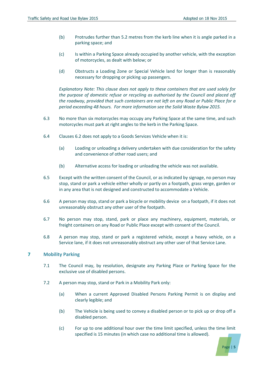- (b) Protrudes further than 5.2 metres from the kerb line when it is angle parked in a parking space; and
- (c) Is within a Parking Space already occupied by another vehicle, with the exception of motorcycles, as dealt with below; or
- (d) Obstructs a Loading Zone or Special Vehicle land for longer than is reasonably necessary for dropping or picking up passengers.

*Explanatory Note: This clause does not apply to these containers that are used solely for the purpose of domestic refuse or recycling as authorised by the Council and placed off the roadway, provided that such containers are not left on any Road or Public Place for a period exceeding 48 hours. For more information see the Solid Waste Bylaw 2015.* 

- 6.3 No more than six motorcycles may occupy any Parking Space at the same time, and such motorcycles must park at right angles to the kerb in the Parking Space.
- 6.4 Clauses 6.2 does not apply to a Goods Services Vehicle when it is:
	- (a) Loading or unloading a delivery undertaken with due consideration for the safety and convenience of other road users; and
	- (b) Alternative access for loading or unloading the vehicle was not available.
- 6.5 Except with the written consent of the Council, or as indicated by signage, no person may stop, stand or park a vehicle either wholly or partly on a footpath, grass verge, garden or in any area that is not designed and constructed to accommodate a Vehicle.
- 6.6 A person may stop, stand or park a bicycle or mobility device on a footpath, if it does not unreasonably obstruct any other user of the footpath.
- 6.7 No person may stop, stand, park or place any machinery, equipment, materials, or freight containers on any Road or Public Place except with consent of the Council.
- 6.8 A person may stop, stand or park a registered vehicle, except a heavy vehicle, on a Service lane, if it does not unreasonably obstruct any other user of that Service Lane.

#### **7 Mobility Parking**

- 7.1 The Council may, by resolution, designate any Parking Place or Parking Space for the exclusive use of disabled persons.
- 7.2 A person may stop, stand or Park in a Mobility Park only:
	- (a) When a current Approved Disabled Persons Parking Permit is on display and clearly legible; and
	- (b) The Vehicle is being used to convey a disabled person or to pick up or drop off a disabled person.
	- (c) For up to one additional hour over the time limit specified, unless the time limit specified is 15 minutes (in which case no additional time is allowed).

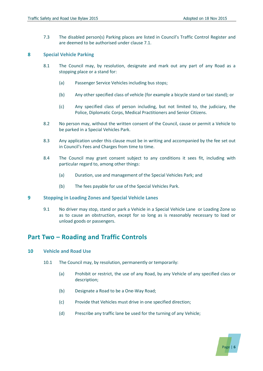7.3 The disabled person(s) Parking places are listed in Council's Traffic Control Register and are deemed to be authorised under clause 7.1.

#### **8 Special Vehicle Parking**

- 8.1 The Council may, by resolution, designate and mark out any part of any Road as a stopping place or a stand for:
	- (a) Passenger Service Vehicles including bus stops;
	- (b) Any other specified class of vehicle (for example a bicycle stand or taxi stand); or
	- (c) Any specified class of person including, but not limited to, the judiciary, the Police, Diplomatic Corps, Medical Practitioners and Senior Citizens.
- 8.2 No person may, without the written consent of the Council, cause or permit a Vehicle to be parked in a Special Vehicles Park.
- 8.3 Any application under this clause must be in writing and accompanied by the fee set out in Council's Fees and Charges from time to time.
- 8.4 The Council may grant consent subject to any conditions it sees fit, including with particular regard to, among other things:
	- (a) Duration, use and management of the Special Vehicles Park; and
	- (b) The fees payable for use of the Special Vehicles Park.

#### **9 Stopping in Loading Zones and Special Vehicle Lanes**

9.1 No driver may stop, stand or park a Vehicle in a Special Vehicle Lane or Loading Zone so as to cause an obstruction, except for so long as is reasonably necessary to load or unload goods or passengers.

# **Part Two – Roading and Traffic Controls**

#### **10 Vehicle and Road Use**

- 10.1 The Council may, by resolution, permanently or temporarily:
	- (a) Prohibit or restrict, the use of any Road, by any Vehicle of any specified class or description;
	- (b) Designate a Road to be a One-Way Road;
	- (c) Provide that Vehicles must drive in one specified direction;
	- (d) Prescribe any traffic lane be used for the turning of any Vehicle;

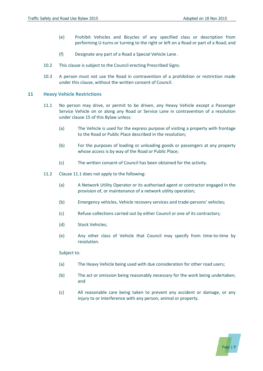Page | **7**

- (e) Prohibit Vehicles and Bicycles of any specified class or description from performing U-turns or turning to the right or left on a Road or part of a Road; and
- (f) Designate any part of a Road a Special Vehicle Lane .
- 10.2 This clause is subject to the Council erecting Prescribed Signs.
- 10.3 A person must not use the Road in contravention of a prohibition or restriction made under this clause, without the written consent of Council.

#### **11 Heavy Vehicle Restrictions**

- 11.1 No person may drive, or permit to be driven, any Heavy Vehicle except a Passenger Service Vehicle on or along any Road or Service Lane in contravention of a resolution under clause 15 of this Bylaw unless:
	- (a) The Vehicle is used for the express purpose of visiting a property with frontage to the Road or Public Place described in the resolution;
	- (b) For the purposes of loading or unloading goods or passengers at any property whose access is by way of the Road or Public Place;
	- (c) The written consent of Council has been obtained for the activity.
- 11.2 Clause 11.1 does not apply to the following:
	- (a) A Network Utility Operator or its authorised agent or contractor engaged in the provision of, or maintenance of a network utility operation;
	- (b) Emergency vehicles, Vehicle recovery services and trade-persons' vehicles;
	- (c) Refuse collections carried out by either Council or one of its contractors;
	- (d) Stock Vehicles;
	- (e) Any other class of Vehicle that Council may specify from time-to-time by resolution.

#### Subject to:

- (a) The Heavy Vehicle being used with due consideration for other road users;
- (b) The act or omission being reasonably necessary for the work being undertaken; and
- (c) All reasonable care being taken to prevent any accident or damage, or any injury to or interference with any person, animal or property.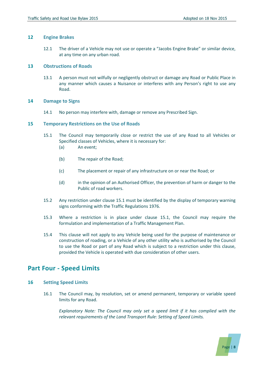#### **12 Engine Brakes**

12.1 The driver of a Vehicle may not use or operate a "Jacobs Engine Brake" or similar device, at any time on any urban road.

#### **13 Obstructions of Roads**

13.1 A person must not wilfully or negligently obstruct or damage any Road or Public Place in any manner which causes a Nuisance or interferes with any Person's right to use any Road.

#### **14 Damage to Signs**

14.1 No person may interfere with, damage or remove any Prescribed Sign.

#### **15 Temporary Restrictions on the Use of Roads**

- 15.1 The Council may temporarily close or restrict the use of any Road to all Vehicles or Specified classes of Vehicles, where it is necessary for:
	- (a) An event;
	- (b) The repair of the Road;
	- (c) The placement or repair of any infrastructure on or near the Road; or
	- (d) in the opinion of an Authorised Officer, the prevention of harm or danger to the Public of road workers.
- 15.2 Any restriction under clause 15.1 must be identified by the display of temporary warning signs conforming with the Traffic Regulations 1976.
- 15.3 Where a restriction is in place under clause 15.1, the Council may require the formulation and implementation of a Traffic Management Plan.
- 15.4 This clause will not apply to any Vehicle being used for the purpose of maintenance or construction of roading, or a Vehicle of any other utility who is authorised by the Council to use the Road or part of any Road which is subject to a restriction under this clause, provided the Vehicle is operated with due consideration of other users.

## **Part Four - Speed Limits**

#### **16 Setting Speed Limits**

16.1 The Council may, by resolution, set or amend permanent, temporary or variable speed limits for any Road.

*Explanatory Note: The Council may only set a speed limit if it has complied with the relevant requirements of the Land Transport Rule: Setting of Speed Limits.*

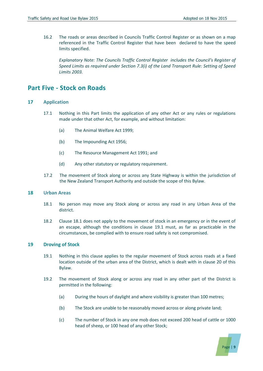16.2 The roads or areas described in Councils Traffic Control Register or as shown on a map referenced in the Traffic Control Register that have been declared to have the speed limits specified.

*Explanatory Note: The Councils Traffic Control Register includes the Council's Register of Speed Limits as required under Section 7.3(i) of the Land Transport Rule: Setting of Speed Limits 2003.* 

### **Part Five - Stock on Roads**

#### **17 Application**

- 17.1 Nothing in this Part limits the application of any other Act or any rules or regulations made under that other Act, for example, and without limitation:
	- (a) The Animal Welfare Act 1999;
	- (b) The Impounding Act 1956;
	- (c) The Resource Management Act 1991; and
	- (d) Any other statutory or regulatory requirement.
- 17.2 The movement of Stock along or across any State Highway is within the jurisdiction of the New Zealand Transport Authority and outside the scope of this Bylaw.

#### **18 Urban Areas**

- 18.1 No person may move any Stock along or across any road in any Urban Area of the district.
- 18.2 Clause 18.1 does not apply to the movement of stock in an emergency or in the event of an escape, although the conditions in clause 19.1 must, as far as practicable in the circumstances, be complied with to ensure road safety is not compromised.

#### **19 Droving of Stock**

- 19.1 Nothing in this clause applies to the regular movement of Stock across roads at a fixed location outside of the urban area of the District, which is dealt with in clause 20 of this Bylaw.
- 19.2 The movement of Stock along or across any road in any other part of the District is permitted in the following:
	- (a) During the hours of daylight and where visibility is greater than 100 metres;
	- (b) The Stock are unable to be reasonably moved across or along private land;
	- (c) The number of Stock in any one mob does not exceed 200 head of cattle or 1000 head of sheep, or 100 head of any other Stock;

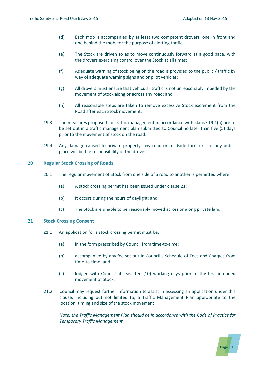- (d) Each mob is accompanied by at least two competent drovers, one in front and one behind the mob, for the purpose of alerting traffic;
- (e) The Stock are driven so as to move continuously forward at a good pace, with the drovers exercising control over the Stock at all times;
- (f) Adequate warning of stock being on the road is provided to the public / traffic by way of adequate warning signs and or pilot vehicles;
- (g) All drovers must ensure that vehicular traffic is not unreasonably impeded by the movement of Stock along or across any road; and
- (h) All reasonable steps are taken to remove excessive Stock excrement from the Road after each Stock movement.
- 19.3 The measures proposed for traffic management in accordance with clause 19.1(h) are to be set out in a traffic management plan submitted to Council no later than five (5) days prior to the movement of stock on the road.
- 19.4 Any damage caused to private property, any road or roadside furniture, or any public place will be the responsibility of the drover.

#### **20 Regular Stock Crossing of Roads**

- 20.1 The regular movement of Stock from one side of a road to another is permitted where:
	- (a) A stock crossing permit has been issued under clause 21;
	- (b) It occurs during the hours of daylight; and
	- (c) The Stock are unable to be reasonably moved across or along private land.

#### **21 Stock Crossing Consent**

- 21.1 An application for a stock crossing permit must be:
	- (a) in the form prescribed by Council from time-to-time;
	- (b) accompanied by any fee set out in Council's Schedule of Fees and Charges from time-to-time; and
	- (c) lodged with Council at least ten (10) working days prior to the first intended movement of Stock.
- 21.2 Council may request further information to assist in assessing an application under this clause, including but not limited to, a Traffic Management Plan appropriate to the location, timing and size of the stock movement.

*Note: the Traffic Management Plan should be in accordance with the Code of Practice for Temporary Traffic Management*

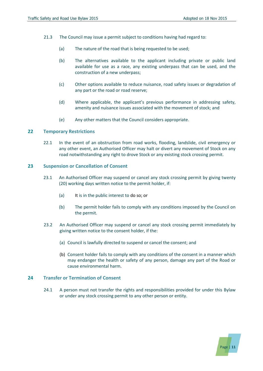Page | **11**

- 21.3 The Council may issue a permit subject to conditions having had regard to:
	- (a) The nature of the road that is being requested to be used;
	- (b) The alternatives available to the applicant including private or public land available for use as a race, any existing underpass that can be used, and the construction of a new underpass;
	- (c) Other options available to reduce nuisance, road safety issues or degradation of any part or the road or road reserve;
	- (d) Where applicable, the applicant's previous performance in addressing safety, amenity and nuisance issues associated with the movement of stock; and
	- (e) Any other matters that the Council considers appropriate.

#### **22 Temporary Restrictions**

22.1 In the event of an obstruction from road works, flooding, landslide, civil emergency or any other event, an Authorised Officer may halt or divert any movement of Stock on any road notwithstanding any right to drove Stock or any existing stock crossing permit.

#### **23 Suspension or Cancellation of Consent**

- 23.1 An Authorised Officer may suspend or cancel any stock crossing permit by giving twenty (20) working days written notice to the permit holder, if:
	- (a) It is in the public interest to do so; or
	- (b) The permit holder fails to comply with any conditions imposed by the Council on the permit.
- 23.2 An Authorised Officer may suspend or cancel any stock crossing permit immediately by giving written notice to the consent holder, if the:
	- (a) Council is lawfully directed to suspend or cancel the consent; and
	- (b) Consent holder fails to comply with any conditions of the consent in a manner which may endanger the health or safety of any person, damage any part of the Road or cause environmental harm.

#### **24 Transfer or Termination of Consent**

24.1 A person must not transfer the rights and responsibilities provided for under this Bylaw or under any stock crossing permit to any other person or entity.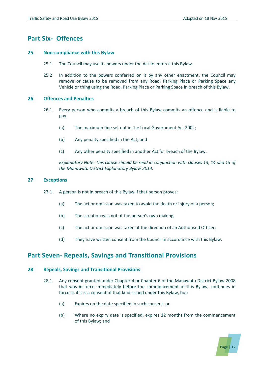## **Part Six- Offences**

#### **25 Non-compliance with this Bylaw**

- 25.1 The Council may use its powers under the Act to enforce this Bylaw.
- 25.2 In addition to the powers conferred on it by any other enactment, the Council may remove or cause to be removed from any Road, Parking Place or Parking Space any Vehicle or thing using the Road, Parking Place or Parking Space in breach of this Bylaw.

#### **26 Offences and Penalties**

- 26.1 Every person who commits a breach of this Bylaw commits an offence and is liable to pay:
	- (a) The maximum fine set out in the Local Government Act 2002;
	- (b) Any penalty specified in the Act; and
	- (c) Any other penalty specified in another Act for breach of the Bylaw.

*Explanatory Note: This clause should be read in conjunction with clauses 13, 14 and 15 of the Manawatu District Explanatory Bylaw 2014.*

#### **27 Exceptions**

- 27.1 A person is not in breach of this Bylaw if that person proves:
	- (a) The act or omission was taken to avoid the death or injury of a person;
	- (b) The situation was not of the person's own making;
	- (c) The act or omission was taken at the direction of an Authorised Officer;
	- (d) They have written consent from the Council in accordance with this Bylaw.

## **Part Seven- Repeals, Savings and Transitional Provisions**

#### **28 Repeals, Savings and Transitional Provisions**

- 28.1 Any consent granted under Chapter 4 or Chapter 6 of the Manawatu District Bylaw 2008 that was in force immediately before the commencement of this Bylaw, continues in force as if it is a consent of that kind issued under this Bylaw, but:
	- (a) Expires on the date specified in such consent or
	- (b) Where no expiry date is specified, expires 12 months from the commencement of this Bylaw; and